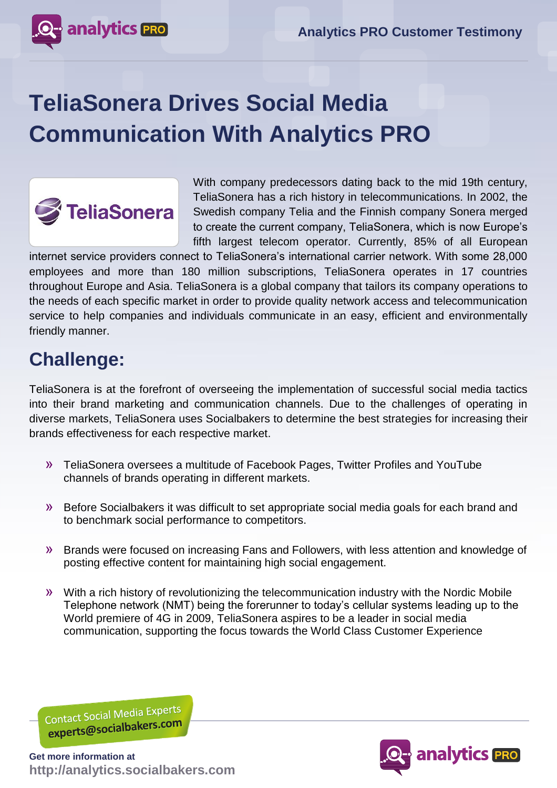

## **TeliaSonera Drives Social Media Communication With Analytics PRO**



With company predecessors dating back to the mid 19th century, TeliaSonera has a rich history in telecommunications. In 2002, the Swedish company Telia and the Finnish company Sonera merged to create the current company, TeliaSonera, which is now Europe's fifth largest telecom operator. Currently, 85% of all European

internet service providers connect to TeliaSonera's international carrier network. With some 28,000 employees and more than 180 million subscriptions, TeliaSonera operates in 17 countries throughout Europe and Asia. TeliaSonera is a global company that tailors its company operations to the needs of each specific market in order to provide quality network access and telecommunication service to help companies and individuals communicate in an easy, efficient and environmentally friendly manner.

## **Challenge:**

TeliaSonera is at the forefront of overseeing the implementation of successful social media tactics into their brand marketing and communication channels. Due to the challenges of operating in diverse markets, TeliaSonera uses Socialbakers to determine the best strategies for increasing their brands effectiveness for each respective market.

- » TeliaSonera oversees a multitude of Facebook Pages, Twitter Profiles and YouTube channels of brands operating in different markets.
- » Before Socialbakers it was difficult to set appropriate social media goals for each brand and to benchmark social performance to competitors.
- » Brands were focused on increasing Fans and Followers, with less attention and knowledge of posting effective content for maintaining high social engagement.
- » With a rich history of revolutionizing the telecommunication industry with the Nordic Mobile Telephone network (NMT) being the forerunner to today's cellular systems leading up to the World premiere of 4G in 2009, TeliaSonera aspires to be a leader in social media communication, supporting the focus towards the World Class Customer Experience

Contact Social Media Experts Contact Social Iviedia Britannico